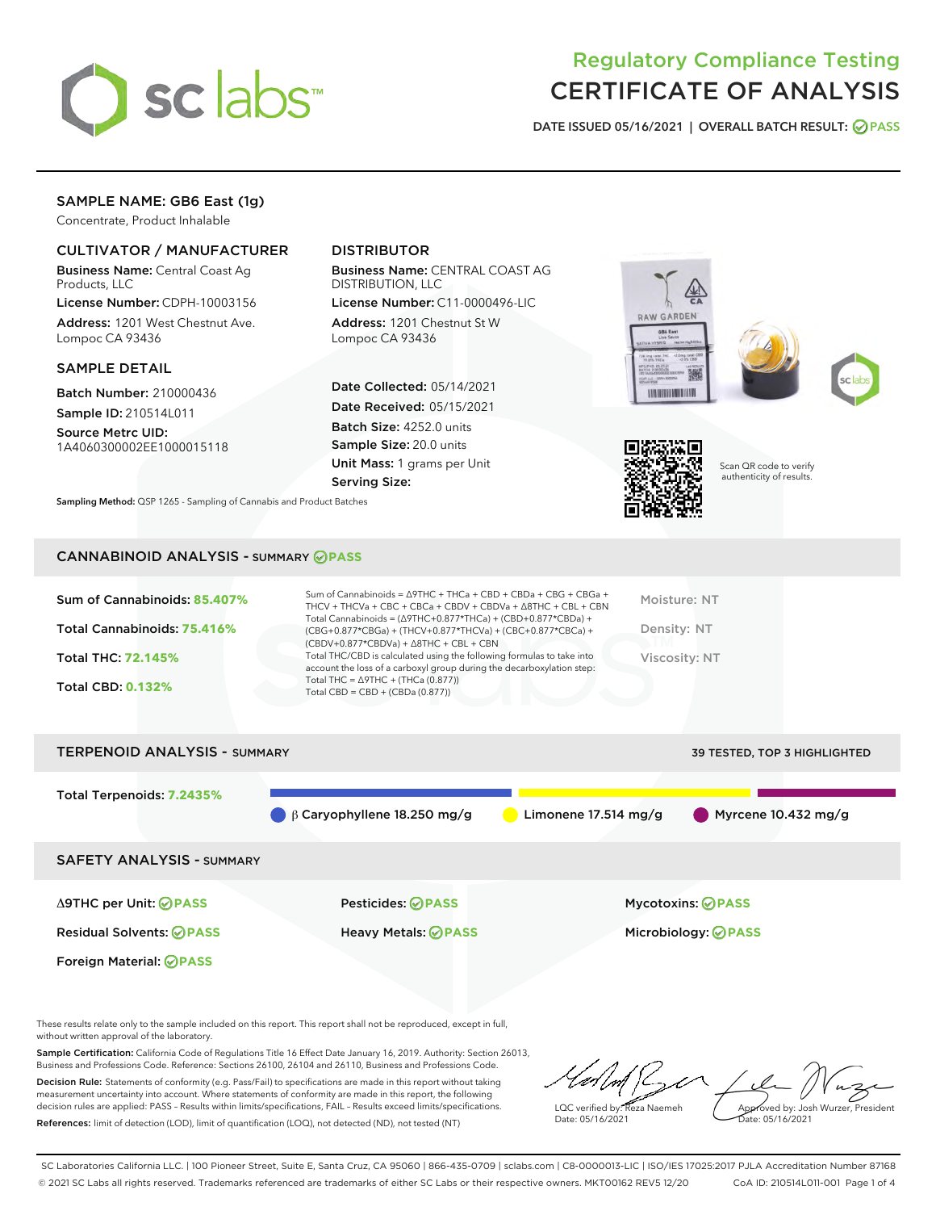

# Regulatory Compliance Testing CERTIFICATE OF ANALYSIS

DATE ISSUED 05/16/2021 | OVERALL BATCH RESULT: @ PASS

# SAMPLE NAME: GB6 East (1g)

Concentrate, Product Inhalable

# CULTIVATOR / MANUFACTURER

Business Name: Central Coast Ag Products, LLC

License Number: CDPH-10003156 Address: 1201 West Chestnut Ave. Lompoc CA 93436

## SAMPLE DETAIL

Batch Number: 210000436 Sample ID: 210514L011

Source Metrc UID: 1A4060300002EE1000015118

Foreign Material: **PASS**

# DISTRIBUTOR

Business Name: CENTRAL COAST AG DISTRIBUTION, LLC

License Number: C11-0000496-LIC Address: 1201 Chestnut St W Lompoc CA 93436

Date Collected: 05/14/2021 Date Received: 05/15/2021 Batch Size: 4252.0 units Sample Size: 20.0 units Unit Mass: 1 grams per Unit Serving Size:









Scan QR code to verify authenticity of results.

Sampling Method: QSP 1265 - Sampling of Cannabis and Product Batches

## CANNABINOID ANALYSIS - SUMMARY **PASS**

| Sum of Cannabinoids: 85.407%<br>Total Cannabinoids: 75.416%<br><b>Total THC: 72.145%</b><br><b>Total CBD: 0.132%</b> | Sum of Cannabinoids = $\triangle$ 9THC + THCa + CBD + CBDa + CBG + CBGa +<br>THCV + THCVa + CBC + CBCa + CBDV + CBDVa + $\land$ 8THC + CBL + CBN<br>Total Cannabinoids = $(\Delta 9THC + 0.877*THCa) + (CBD+0.877*CBDa) +$<br>$(CBG+0.877*CBGa) + (THCV+0.877*THCVa) + (CBC+0.877*CBCa) +$<br>$(CBDV+0.877*CBDVa) + \Delta 8THC + CBL + CBN$<br>Total THC/CBD is calculated using the following formulas to take into<br>account the loss of a carboxyl group during the decarboxylation step:<br>Total THC = $\triangle$ 9THC + (THCa (0.877))<br>Total CBD = $CBD + (CBDa (0.877))$ | Moisture: NT<br>Density: NT<br>Viscosity: NT |
|----------------------------------------------------------------------------------------------------------------------|---------------------------------------------------------------------------------------------------------------------------------------------------------------------------------------------------------------------------------------------------------------------------------------------------------------------------------------------------------------------------------------------------------------------------------------------------------------------------------------------------------------------------------------------------------------------------------------|----------------------------------------------|
| <b>TERPENOID ANALYSIS - SUMMARY</b>                                                                                  |                                                                                                                                                                                                                                                                                                                                                                                                                                                                                                                                                                                       | <b>39 TESTED, TOP 3 HIGHLIGHTED</b>          |

Total Terpenoids: **7.2435%** β Caryophyllene 18.250 mg/g Limonene 17.514 mg/g Myrcene 10.432 mg/g SAFETY ANALYSIS - SUMMARY Δ9THC per Unit: **PASS** Pesticides: **PASS** Mycotoxins: **PASS** Residual Solvents: **PASS** Heavy Metals: **PASS** Microbiology: **PASS**

These results relate only to the sample included on this report. This report shall not be reproduced, except in full, without written approval of the laboratory.

Sample Certification: California Code of Regulations Title 16 Effect Date January 16, 2019. Authority: Section 26013, Business and Professions Code. Reference: Sections 26100, 26104 and 26110, Business and Professions Code.

Decision Rule: Statements of conformity (e.g. Pass/Fail) to specifications are made in this report without taking measurement uncertainty into account. Where statements of conformity are made in this report, the following decision rules are applied: PASS – Results within limits/specifications, FAIL – Results exceed limits/specifications. References: limit of detection (LOD), limit of quantification (LOQ), not detected (ND), not tested (NT)

LQC verified by: Reza Naemeh Date: 05/16/2021 Approved by: Josh Wurzer, President Date: 05/16/2021

SC Laboratories California LLC. | 100 Pioneer Street, Suite E, Santa Cruz, CA 95060 | 866-435-0709 | sclabs.com | C8-0000013-LIC | ISO/IES 17025:2017 PJLA Accreditation Number 87168 © 2021 SC Labs all rights reserved. Trademarks referenced are trademarks of either SC Labs or their respective owners. MKT00162 REV5 12/20 CoA ID: 210514L011-001 Page 1 of 4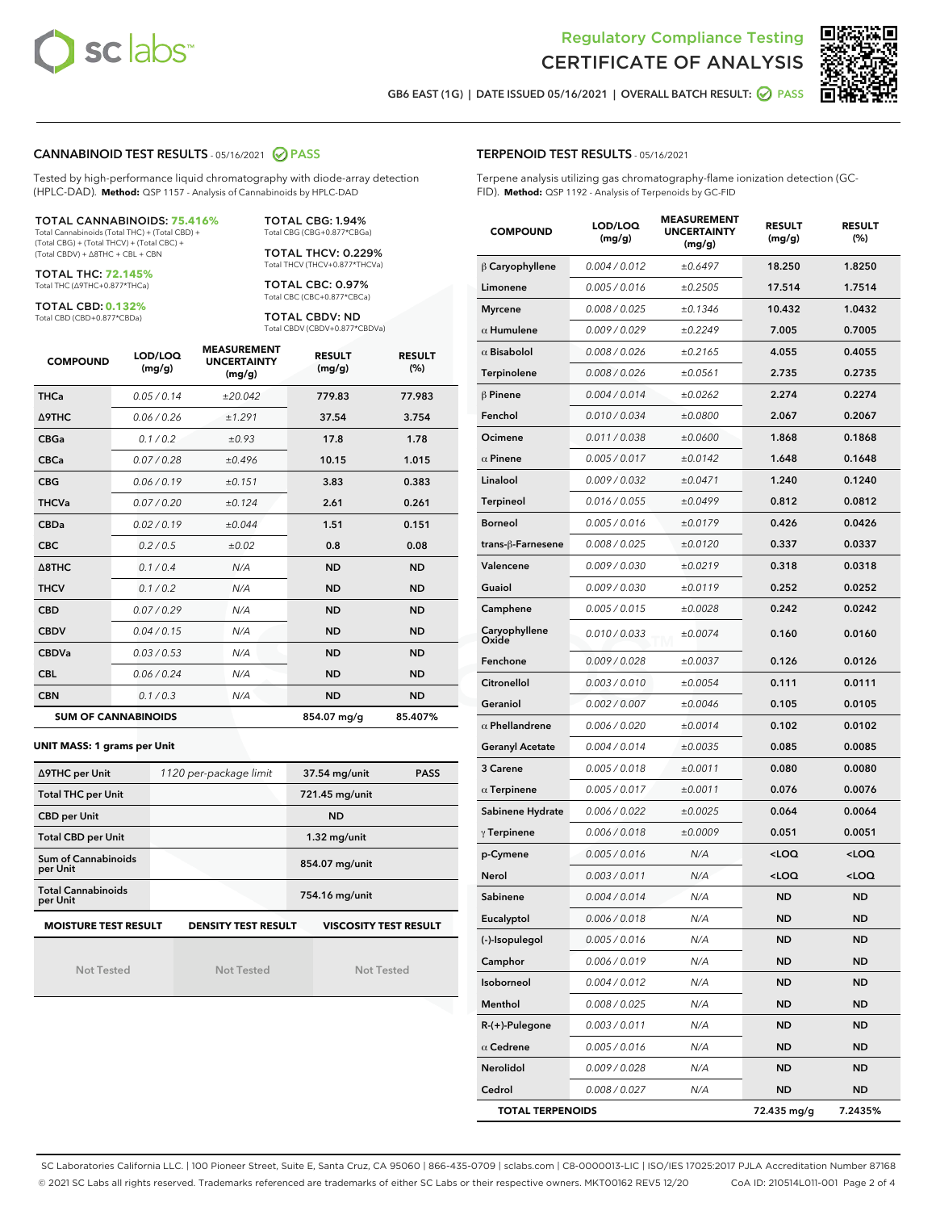



GB6 EAST (1G) | DATE ISSUED 05/16/2021 | OVERALL BATCH RESULT: 2 PASS

## CANNABINOID TEST RESULTS - 05/16/2021 2 PASS

Tested by high-performance liquid chromatography with diode-array detection (HPLC-DAD). **Method:** QSP 1157 - Analysis of Cannabinoids by HPLC-DAD

#### TOTAL CANNABINOIDS: **75.416%**

Total Cannabinoids (Total THC) + (Total CBD) + (Total CBG) + (Total THCV) + (Total CBC) + (Total CBDV) + ∆8THC + CBL + CBN

TOTAL THC: **72.145%** Total THC (∆9THC+0.877\*THCa)

TOTAL CBD: **0.132%**

Total CBD (CBD+0.877\*CBDa)

TOTAL CBG: 1.94% Total CBG (CBG+0.877\*CBGa)

TOTAL THCV: 0.229% Total THCV (THCV+0.877\*THCVa)

TOTAL CBC: 0.97% Total CBC (CBC+0.877\*CBCa)

TOTAL CBDV: ND Total CBDV (CBDV+0.877\*CBDVa)

| <b>COMPOUND</b> | LOD/LOQ<br>(mg/g)          | <b>MEASUREMENT</b><br><b>UNCERTAINTY</b><br>(mg/g) | <b>RESULT</b><br>(mg/g) | <b>RESULT</b><br>(%) |
|-----------------|----------------------------|----------------------------------------------------|-------------------------|----------------------|
| <b>THCa</b>     | 0.05 / 0.14                | ±20.042                                            | 779.83                  | 77.983               |
| <b>A9THC</b>    | 0.06 / 0.26                | ±1.291                                             | 37.54                   | 3.754                |
| <b>CBGa</b>     | 0.1 / 0.2                  | ±0.93                                              | 17.8                    | 1.78                 |
| <b>CBCa</b>     | 0.07/0.28                  | ±0.496                                             | 10.15                   | 1.015                |
| <b>CBG</b>      | 0.06/0.19                  | ±0.151                                             | 3.83                    | 0.383                |
| <b>THCVa</b>    | 0.07/0.20                  | ±0.124                                             | 2.61                    | 0.261                |
| <b>CBDa</b>     | 0.02/0.19                  | ±0.044                                             | 1.51                    | 0.151                |
| <b>CBC</b>      | 0.2 / 0.5                  | $\pm 0.02$                                         | 0.8                     | 0.08                 |
| A8THC           | 0.1/0.4                    | N/A                                                | <b>ND</b>               | <b>ND</b>            |
| <b>THCV</b>     | 0.1/0.2                    | N/A                                                | <b>ND</b>               | <b>ND</b>            |
| <b>CBD</b>      | 0.07/0.29                  | N/A                                                | <b>ND</b>               | <b>ND</b>            |
| <b>CBDV</b>     | 0.04 / 0.15                | N/A                                                | <b>ND</b>               | <b>ND</b>            |
| <b>CBDVa</b>    | 0.03/0.53                  | N/A                                                | <b>ND</b>               | <b>ND</b>            |
| <b>CBL</b>      | 0.06 / 0.24                | N/A                                                | <b>ND</b>               | <b>ND</b>            |
| <b>CBN</b>      | 0.1/0.3                    | N/A                                                | <b>ND</b>               | <b>ND</b>            |
|                 | <b>SUM OF CANNABINOIDS</b> |                                                    | 854.07 mg/g             | 85.407%              |

#### **UNIT MASS: 1 grams per Unit**

| ∆9THC per Unit                                                                            | 1120 per-package limit | 37.54 mg/unit<br><b>PASS</b> |  |  |  |
|-------------------------------------------------------------------------------------------|------------------------|------------------------------|--|--|--|
| <b>Total THC per Unit</b>                                                                 |                        | 721.45 mg/unit               |  |  |  |
| <b>CBD per Unit</b>                                                                       |                        | <b>ND</b>                    |  |  |  |
| <b>Total CBD per Unit</b>                                                                 |                        | $1.32$ mg/unit               |  |  |  |
| Sum of Cannabinoids<br>per Unit                                                           |                        | 854.07 mg/unit               |  |  |  |
| <b>Total Cannabinoids</b><br>per Unit                                                     |                        | 754.16 mg/unit               |  |  |  |
| <b>MOISTURE TEST RESULT</b><br><b>DENSITY TEST RESULT</b><br><b>VISCOSITY TEST RESULT</b> |                        |                              |  |  |  |

Not Tested

Not Tested

Not Tested

## TERPENOID TEST RESULTS - 05/16/2021

Terpene analysis utilizing gas chromatography-flame ionization detection (GC-FID). **Method:** QSP 1192 - Analysis of Terpenoids by GC-FID

| <b>COMPOUND</b>         | LOD/LOQ<br>(mg/g) | <b>MEASUREMENT</b><br><b>UNCERTAINTY</b><br>(mg/g) | <b>RESULT</b><br>(mg/g)                         | <b>RESULT</b><br>(%) |
|-------------------------|-------------------|----------------------------------------------------|-------------------------------------------------|----------------------|
| $\beta$ Caryophyllene   | 0.004 / 0.012     | ±0.6497                                            | 18.250                                          | 1.8250               |
| Limonene                | 0.005 / 0.016     | ±0.2505                                            | 17.514                                          | 1.7514               |
| <b>Myrcene</b>          | 0.008 / 0.025     | ±0.1346                                            | 10.432                                          | 1.0432               |
| $\alpha$ Humulene       | 0.009 / 0.029     | ±0.2249                                            | 7.005                                           | 0.7005               |
| $\alpha$ Bisabolol      | 0.008 / 0.026     | ±0.2165                                            | 4.055                                           | 0.4055               |
| Terpinolene             | 0.008 / 0.026     | ±0.0561                                            | 2.735                                           | 0.2735               |
| $\beta$ Pinene          | 0.004 / 0.014     | ±0.0262                                            | 2.274                                           | 0.2274               |
| Fenchol                 | 0.010 / 0.034     | ±0.0800                                            | 2.067                                           | 0.2067               |
| Ocimene                 | 0.011 / 0.038     | ±0.0600                                            | 1.868                                           | 0.1868               |
| $\alpha$ Pinene         | 0.005 / 0.017     | ±0.0142                                            | 1.648                                           | 0.1648               |
| Linalool                | 0.009 / 0.032     | ±0.0471                                            | 1.240                                           | 0.1240               |
| Terpineol               | 0.016 / 0.055     | ±0.0499                                            | 0.812                                           | 0.0812               |
| <b>Borneol</b>          | 0.005 / 0.016     | ±0.0179                                            | 0.426                                           | 0.0426               |
| trans-ß-Farnesene       | 0.008 / 0.025     | ±0.0120                                            | 0.337                                           | 0.0337               |
| Valencene               | 0.009 / 0.030     | ±0.0219                                            | 0.318                                           | 0.0318               |
| Guaiol                  | 0.009 / 0.030     | ±0.0119                                            | 0.252                                           | 0.0252               |
| Camphene                | 0.005 / 0.015     | ±0.0028                                            | 0.242                                           | 0.0242               |
| Caryophyllene<br>Oxide  | 0.010 / 0.033     | ±0.0074                                            | 0.160                                           | 0.0160               |
| Fenchone                | 0.009 / 0.028     | ±0.0037                                            | 0.126                                           | 0.0126               |
| Citronellol             | 0.003 / 0.010     | ±0.0054                                            | 0.111                                           | 0.0111               |
| Geraniol                | 0.002 / 0.007     | ±0.0046                                            | 0.105                                           | 0.0105               |
| $\alpha$ Phellandrene   | 0.006 / 0.020     | ±0.0014                                            | 0.102                                           | 0.0102               |
| <b>Geranyl Acetate</b>  | 0.004 / 0.014     | ±0.0035                                            | 0.085                                           | 0.0085               |
| 3 Carene                | 0.005 / 0.018     | ±0.0011                                            | 0.080                                           | 0.0080               |
| $\alpha$ Terpinene      | 0.005 / 0.017     | ±0.0011                                            | 0.076                                           | 0.0076               |
| Sabinene Hydrate        | 0.006 / 0.022     | ±0.0025                                            | 0.064                                           | 0.0064               |
| $\gamma$ Terpinene      | 0.006 / 0.018     | ±0.0009                                            | 0.051                                           | 0.0051               |
| p-Cymene                | 0.005 / 0.016     | N/A                                                | <loq< th=""><th><loq< th=""></loq<></th></loq<> | <loq< th=""></loq<>  |
| Nerol                   | 0.003 / 0.011     | N/A                                                | <loq< th=""><th><loq< th=""></loq<></th></loq<> | <loq< th=""></loq<>  |
| Sabinene                | 0.004 / 0.014     | N/A                                                | ND                                              | ND                   |
| Eucalyptol              | 0.006 / 0.018     | N/A                                                | ND                                              | ND                   |
| (-)-Isopulegol          | 0.005 / 0.016     | N/A                                                | ND                                              | <b>ND</b>            |
| Camphor                 | 0.006 / 0.019     | N/A                                                | <b>ND</b>                                       | <b>ND</b>            |
| Isoborneol              | 0.004 / 0.012     | N/A                                                | <b>ND</b>                                       | <b>ND</b>            |
| Menthol                 | 0.008 / 0.025     | N/A                                                | <b>ND</b>                                       | ND                   |
| $R-(+)$ -Pulegone       | 0.003 / 0.011     | N/A                                                | <b>ND</b>                                       | <b>ND</b>            |
| $\alpha$ Cedrene        | 0.005 / 0.016     | N/A                                                | <b>ND</b>                                       | ND                   |
| Nerolidol               | 0.009 / 0.028     | N/A                                                | ND                                              | ND                   |
| Cedrol                  | 0.008 / 0.027     | N/A                                                | <b>ND</b>                                       | ND                   |
| <b>TOTAL TERPENOIDS</b> |                   |                                                    | 72.435 mg/g                                     | 7.2435%              |

SC Laboratories California LLC. | 100 Pioneer Street, Suite E, Santa Cruz, CA 95060 | 866-435-0709 | sclabs.com | C8-0000013-LIC | ISO/IES 17025:2017 PJLA Accreditation Number 87168 © 2021 SC Labs all rights reserved. Trademarks referenced are trademarks of either SC Labs or their respective owners. MKT00162 REV5 12/20 CoA ID: 210514L011-001 Page 2 of 4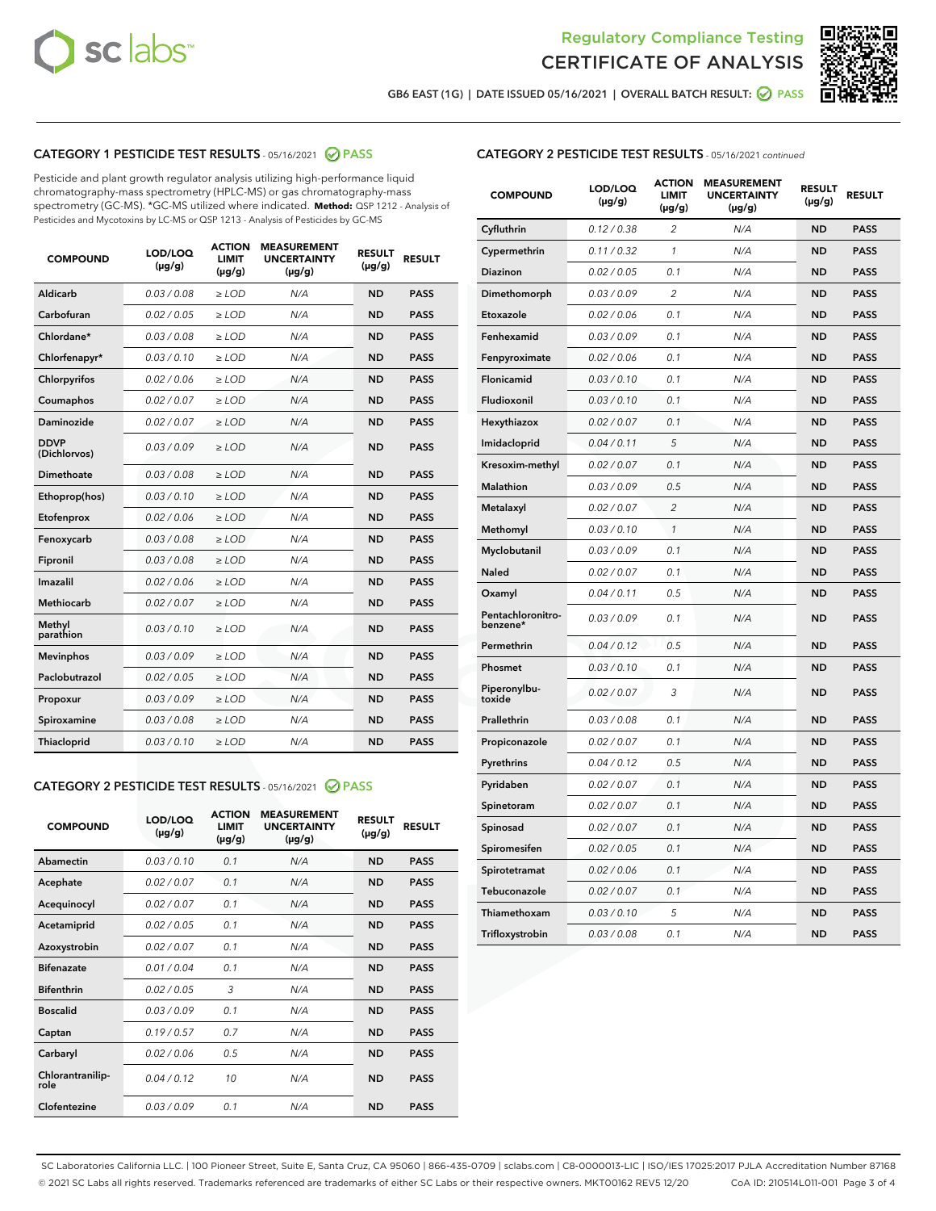



GB6 EAST (1G) | DATE ISSUED 05/16/2021 | OVERALL BATCH RESULT:  $\bigcirc$  PASS

# CATEGORY 1 PESTICIDE TEST RESULTS - 05/16/2021 2 PASS

Pesticide and plant growth regulator analysis utilizing high-performance liquid chromatography-mass spectrometry (HPLC-MS) or gas chromatography-mass spectrometry (GC-MS). \*GC-MS utilized where indicated. **Method:** QSP 1212 - Analysis of Pesticides and Mycotoxins by LC-MS or QSP 1213 - Analysis of Pesticides by GC-MS

| <b>COMPOUND</b>             | LOD/LOQ<br>$(\mu g/g)$ | <b>ACTION</b><br><b>LIMIT</b><br>$(\mu g/g)$ | <b>MEASUREMENT</b><br><b>UNCERTAINTY</b><br>$(\mu g/g)$ | <b>RESULT</b><br>$(\mu g/g)$ | <b>RESULT</b> |
|-----------------------------|------------------------|----------------------------------------------|---------------------------------------------------------|------------------------------|---------------|
| Aldicarb                    | 0.03 / 0.08            | $\ge$ LOD                                    | N/A                                                     | <b>ND</b>                    | <b>PASS</b>   |
| Carbofuran                  | 0.02/0.05              | $>$ LOD                                      | N/A                                                     | <b>ND</b>                    | <b>PASS</b>   |
| Chlordane*                  | 0.03 / 0.08            | $\ge$ LOD                                    | N/A                                                     | <b>ND</b>                    | <b>PASS</b>   |
| Chlorfenapyr*               | 0.03/0.10              | $>$ LOD                                      | N/A                                                     | <b>ND</b>                    | <b>PASS</b>   |
| Chlorpyrifos                | 0.02 / 0.06            | $\ge$ LOD                                    | N/A                                                     | <b>ND</b>                    | <b>PASS</b>   |
| Coumaphos                   | 0.02 / 0.07            | $\ge$ LOD                                    | N/A                                                     | <b>ND</b>                    | <b>PASS</b>   |
| Daminozide                  | 0.02 / 0.07            | $\ge$ LOD                                    | N/A                                                     | <b>ND</b>                    | <b>PASS</b>   |
| <b>DDVP</b><br>(Dichlorvos) | 0.03/0.09              | $\ge$ LOD                                    | N/A                                                     | <b>ND</b>                    | <b>PASS</b>   |
| Dimethoate                  | 0.03/0.08              | $>$ LOD                                      | N/A                                                     | <b>ND</b>                    | <b>PASS</b>   |
| Ethoprop(hos)               | 0.03/0.10              | $\ge$ LOD                                    | N/A                                                     | <b>ND</b>                    | <b>PASS</b>   |
| Etofenprox                  | 0.02 / 0.06            | $\ge$ LOD                                    | N/A                                                     | <b>ND</b>                    | <b>PASS</b>   |
| Fenoxycarb                  | 0.03 / 0.08            | $\ge$ LOD                                    | N/A                                                     | <b>ND</b>                    | <b>PASS</b>   |
| Fipronil                    | 0.03/0.08              | $>$ LOD                                      | N/A                                                     | <b>ND</b>                    | <b>PASS</b>   |
| Imazalil                    | 0.02 / 0.06            | $\ge$ LOD                                    | N/A                                                     | <b>ND</b>                    | <b>PASS</b>   |
| Methiocarb                  | 0.02 / 0.07            | $\ge$ LOD                                    | N/A                                                     | <b>ND</b>                    | <b>PASS</b>   |
| Methyl<br>parathion         | 0.03/0.10              | $\ge$ LOD                                    | N/A                                                     | <b>ND</b>                    | <b>PASS</b>   |
| <b>Mevinphos</b>            | 0.03/0.09              | $>$ LOD                                      | N/A                                                     | <b>ND</b>                    | <b>PASS</b>   |
| Paclobutrazol               | 0.02 / 0.05            | $\ge$ LOD                                    | N/A                                                     | <b>ND</b>                    | <b>PASS</b>   |
| Propoxur                    | 0.03/0.09              | $\ge$ LOD                                    | N/A                                                     | <b>ND</b>                    | <b>PASS</b>   |
| Spiroxamine                 | 0.03 / 0.08            | $\ge$ LOD                                    | N/A                                                     | <b>ND</b>                    | <b>PASS</b>   |
| Thiacloprid                 | 0.03/0.10              | $\ge$ LOD                                    | N/A                                                     | <b>ND</b>                    | <b>PASS</b>   |

## CATEGORY 2 PESTICIDE TEST RESULTS - 05/16/2021 @ PASS

| <b>COMPOUND</b>          | LOD/LOO<br>$(\mu g/g)$ | <b>ACTION</b><br>LIMIT<br>$(\mu g/g)$ | <b>MEASUREMENT</b><br><b>UNCERTAINTY</b><br>$(\mu g/g)$ | <b>RESULT</b><br>$(\mu g/g)$ | <b>RESULT</b> |  |
|--------------------------|------------------------|---------------------------------------|---------------------------------------------------------|------------------------------|---------------|--|
| Abamectin                | 0.03/0.10              | 0.1                                   | N/A                                                     | <b>ND</b>                    | <b>PASS</b>   |  |
| Acephate                 | 0.02/0.07              | 0.1                                   | N/A                                                     | <b>ND</b>                    | <b>PASS</b>   |  |
| Acequinocyl              | 0.02/0.07              | 0.1                                   | N/A                                                     | <b>ND</b>                    | <b>PASS</b>   |  |
| Acetamiprid              | 0.02 / 0.05            | 0.1                                   | N/A                                                     | <b>ND</b>                    | <b>PASS</b>   |  |
| Azoxystrobin             | 0.02/0.07              | 0.1                                   | N/A                                                     | <b>ND</b>                    | <b>PASS</b>   |  |
| <b>Bifenazate</b>        | 0.01 / 0.04            | 0.1                                   | N/A                                                     | <b>ND</b>                    | <b>PASS</b>   |  |
| <b>Bifenthrin</b>        | 0.02 / 0.05            | 3                                     | N/A                                                     | <b>ND</b>                    | <b>PASS</b>   |  |
| <b>Boscalid</b>          | 0.03/0.09              | 0.1                                   | N/A                                                     | <b>ND</b>                    | <b>PASS</b>   |  |
| Captan                   | 0.19/0.57              | 0.7                                   | N/A                                                     | <b>ND</b>                    | <b>PASS</b>   |  |
| Carbaryl                 | 0.02/0.06              | 0.5                                   | N/A                                                     | <b>ND</b>                    | <b>PASS</b>   |  |
| Chlorantranilip-<br>role | 0.04/0.12              | 10                                    | N/A                                                     | <b>ND</b>                    | <b>PASS</b>   |  |
| Clofentezine             | 0.03/0.09              | 0.1                                   | N/A                                                     | <b>ND</b>                    | <b>PASS</b>   |  |

# CATEGORY 2 PESTICIDE TEST RESULTS - 05/16/2021 continued

| <b>COMPOUND</b>               | LOD/LOQ<br>(µg/g) | <b>ACTION</b><br><b>LIMIT</b><br>$(\mu g/g)$ | <b>MEASUREMENT</b><br><b>UNCERTAINTY</b><br>$(\mu g/g)$ | <b>RESULT</b><br>(µg/g) | <b>RESULT</b> |
|-------------------------------|-------------------|----------------------------------------------|---------------------------------------------------------|-------------------------|---------------|
| Cyfluthrin                    | 0.12 / 0.38       | $\overline{c}$                               | N/A                                                     | ND                      | <b>PASS</b>   |
| Cypermethrin                  | 0.11 / 0.32       | $\mathcal{I}$                                | N/A                                                     | ND                      | <b>PASS</b>   |
| <b>Diazinon</b>               | 0.02 / 0.05       | 0.1                                          | N/A                                                     | <b>ND</b>               | <b>PASS</b>   |
| Dimethomorph                  | 0.03 / 0.09       | 2                                            | N/A                                                     | ND                      | <b>PASS</b>   |
| Etoxazole                     | 0.02 / 0.06       | 0.1                                          | N/A                                                     | ND                      | <b>PASS</b>   |
| Fenhexamid                    | 0.03 / 0.09       | 0.1                                          | N/A                                                     | ND                      | <b>PASS</b>   |
| Fenpyroximate                 | 0.02 / 0.06       | 0.1                                          | N/A                                                     | <b>ND</b>               | <b>PASS</b>   |
| Flonicamid                    | 0.03 / 0.10       | 0.1                                          | N/A                                                     | ND                      | <b>PASS</b>   |
| Fludioxonil                   | 0.03 / 0.10       | 0.1                                          | N/A                                                     | ND                      | <b>PASS</b>   |
| Hexythiazox                   | 0.02 / 0.07       | 0.1                                          | N/A                                                     | ND                      | <b>PASS</b>   |
| Imidacloprid                  | 0.04 / 0.11       | 5                                            | N/A                                                     | ND                      | <b>PASS</b>   |
| Kresoxim-methyl               | 0.02 / 0.07       | 0.1                                          | N/A                                                     | ND                      | <b>PASS</b>   |
| Malathion                     | 0.03 / 0.09       | 0.5                                          | N/A                                                     | ND                      | <b>PASS</b>   |
| Metalaxyl                     | 0.02 / 0.07       | $\overline{c}$                               | N/A                                                     | ND                      | <b>PASS</b>   |
| Methomyl                      | 0.03 / 0.10       | $\mathbf{1}$                                 | N/A                                                     | ND                      | <b>PASS</b>   |
| Myclobutanil                  | 0.03 / 0.09       | 0.1                                          | N/A                                                     | <b>ND</b>               | <b>PASS</b>   |
| Naled                         | 0.02 / 0.07       | 0.1                                          | N/A                                                     | ND                      | <b>PASS</b>   |
| Oxamyl                        | 0.04 / 0.11       | 0.5                                          | N/A                                                     | ND                      | PASS          |
| Pentachloronitro-<br>benzene* | 0.03 / 0.09       | 0.1                                          | N/A                                                     | ND                      | <b>PASS</b>   |
| Permethrin                    | 0.04 / 0.12       | 0.5                                          | N/A                                                     | ND                      | <b>PASS</b>   |
| Phosmet                       | 0.03 / 0.10       | 0.1                                          | N/A                                                     | ND                      | <b>PASS</b>   |
| Piperonylbu-<br>toxide        | 0.02 / 0.07       | 3                                            | N/A                                                     | <b>ND</b>               | <b>PASS</b>   |
| Prallethrin                   | 0.03 / 0.08       | 0.1                                          | N/A                                                     | ND                      | <b>PASS</b>   |
| Propiconazole                 | 0.02 / 0.07       | 0.1                                          | N/A                                                     | <b>ND</b>               | <b>PASS</b>   |
| Pyrethrins                    | 0.04 / 0.12       | 0.5                                          | N/A                                                     | ND                      | <b>PASS</b>   |
| Pyridaben                     | 0.02 / 0.07       | 0.1                                          | N/A                                                     | <b>ND</b>               | <b>PASS</b>   |
| Spinetoram                    | 0.02 / 0.07       | 0.1                                          | N/A                                                     | ND                      | <b>PASS</b>   |
| Spinosad                      | 0.02 / 0.07       | 0.1                                          | N/A                                                     | ND                      | <b>PASS</b>   |
| Spiromesifen                  | 0.02 / 0.05       | 0.1                                          | N/A                                                     | <b>ND</b>               | <b>PASS</b>   |
| Spirotetramat                 | 0.02 / 0.06       | 0.1                                          | N/A                                                     | ND                      | <b>PASS</b>   |
| Tebuconazole                  | 0.02 / 0.07       | 0.1                                          | N/A                                                     | ND                      | <b>PASS</b>   |
| Thiamethoxam                  | 0.03 / 0.10       | 5                                            | N/A                                                     | <b>ND</b>               | <b>PASS</b>   |
| Trifloxystrobin               | 0.03 / 0.08       | 0.1                                          | N/A                                                     | <b>ND</b>               | <b>PASS</b>   |

SC Laboratories California LLC. | 100 Pioneer Street, Suite E, Santa Cruz, CA 95060 | 866-435-0709 | sclabs.com | C8-0000013-LIC | ISO/IES 17025:2017 PJLA Accreditation Number 87168 © 2021 SC Labs all rights reserved. Trademarks referenced are trademarks of either SC Labs or their respective owners. MKT00162 REV5 12/20 CoA ID: 210514L011-001 Page 3 of 4